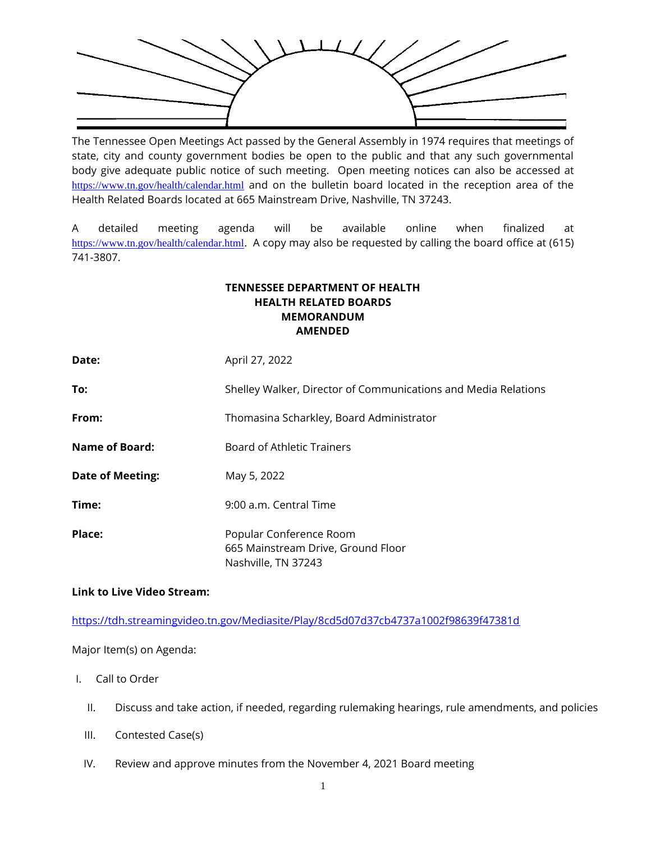

The Tennessee Open Meetings Act passed by the General Assembly in 1974 requires that meetings of state, city and county government bodies be open to the public and that any such governmental body give adequate public notice of such meeting. Open meeting notices can also be accessed at <https://www.tn.gov/health/calendar.html> and on the bulletin board located in the reception area of the Health Related Boards located at 665 Mainstream Drive, Nashville, TN 37243.

A detailed meeting agenda will be available online when finalized at <https://www.tn.gov/health/calendar.html>. A copy may also be requested by calling the board office at (615) 741-3807.

## **TENNESSEE DEPARTMENT OF HEALTH HEALTH RELATED BOARDS MEMORANDUM AMENDED**

| Date:                   | April 27, 2022                                                                       |
|-------------------------|--------------------------------------------------------------------------------------|
| To:                     | Shelley Walker, Director of Communications and Media Relations                       |
| From:                   | Thomasina Scharkley, Board Administrator                                             |
| Name of Board:          | Board of Athletic Trainers                                                           |
| <b>Date of Meeting:</b> | May 5, 2022                                                                          |
| Time:                   | 9:00 a.m. Central Time                                                               |
| Place:                  | Popular Conference Room<br>665 Mainstream Drive, Ground Floor<br>Nashville. TN 37243 |

## **Link to Live Video Stream:**

<https://tdh.streamingvideo.tn.gov/Mediasite/Play/8cd5d07d37cb4737a1002f98639f47381d>

Major Item(s) on Agenda:

- I. Call to Order
	- II. Discuss and take action, if needed, regarding rulemaking hearings, rule amendments, and policies
	- III. Contested Case(s)
	- IV. Review and approve minutes from the November 4, 2021 Board meeting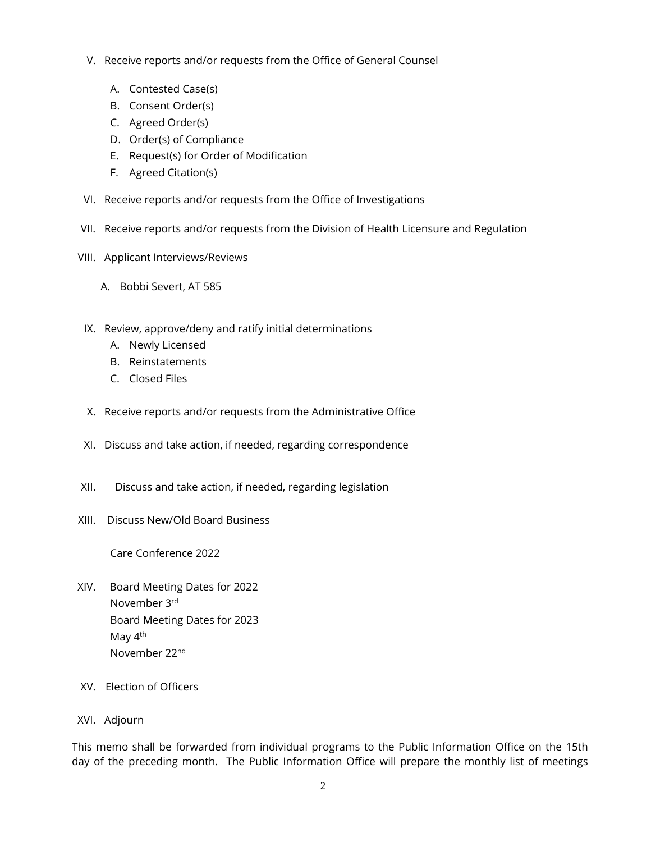- V. Receive reports and/or requests from the Office of General Counsel
	- A. Contested Case(s)
	- B. Consent Order(s)
	- C. Agreed Order(s)
	- D. Order(s) of Compliance
	- E. Request(s) for Order of Modification
	- F. Agreed Citation(s)
- VI. Receive reports and/or requests from the Office of Investigations
- VII. Receive reports and/or requests from the Division of Health Licensure and Regulation
- VIII. Applicant Interviews/Reviews
	- A. Bobbi Severt, AT 585
- IX. Review, approve/deny and ratify initial determinations
	- A. Newly Licensed
	- B. Reinstatements
	- C. Closed Files
- X. Receive reports and/or requests from the Administrative Office
- XI. Discuss and take action, if needed, regarding correspondence
- XII. Discuss and take action, if needed, regarding legislation
- XIII. Discuss New/Old Board Business

Care Conference 2022

- XIV. Board Meeting Dates for 2022 November 3rd Board Meeting Dates for 2023 May 4<sup>th</sup> November 22nd
- XV. Election of Officers

## XVI. Adjourn

This memo shall be forwarded from individual programs to the Public Information Office on the 15th day of the preceding month. The Public Information Office will prepare the monthly list of meetings